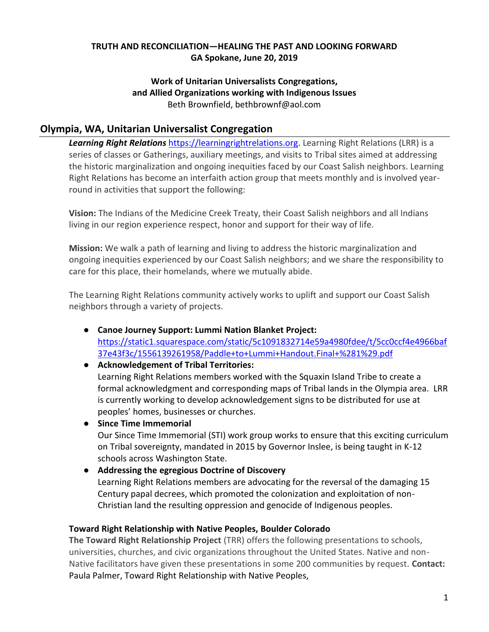#### **TRUTH AND RECONCILIATION—HEALING THE PAST AND LOOKING FORWARD GA Spokane, June 20, 2019**

#### **Work of Unitarian Universalists Congregations, and Allied Organizations working with Indigenous Issues** Beth Brownfield, bethbrownf@aol.com

#### **Olympia, WA, Unitarian Universalist Congregation**

*Learning Right Relations* [https://learningrightrelations.org.](https://learningrightrelations.org/) Learning Right Relations (LRR) is a series of classes or Gatherings, auxiliary meetings, and visits to Tribal sites aimed at addressing the historic marginalization and ongoing inequities faced by our Coast Salish neighbors. Learning Right Relations has become an interfaith action group that meets monthly and is involved yearround in activities that support the following:

**Vision:** The Indians of the Medicine Creek Treaty, their Coast Salish neighbors and all Indians living in our region experience respect, honor and support for their way of life.

**Mission:** We walk a path of learning and living to address the historic marginalization and ongoing inequities experienced by our Coast Salish neighbors; and we share the responsibility to care for this place, their homelands, where we mutually abide.

The Learning Right Relations community actively works to uplift and support our Coast Salish neighbors through a variety of projects.

- **Canoe Journey Support: Lummi Nation Blanket Project:**  [https://static1.squarespace.com/static/5c1091832714e59a4980fdee/t/5cc0ccf4e4966baf](https://static1.squarespace.com/static/5c1091832714e59a4980fdee/t/5cc0ccf4e4966baf37e43f3c/1556139261958/Paddle+to+Lummi+Handout.Final+%281%29.pdf) [37e43f3c/1556139261958/Paddle+to+Lummi+Handout.Final+%281%29.pdf](https://static1.squarespace.com/static/5c1091832714e59a4980fdee/t/5cc0ccf4e4966baf37e43f3c/1556139261958/Paddle+to+Lummi+Handout.Final+%281%29.pdf)
- **Acknowledgement of Tribal Territories:** Learning Right Relations members worked with the Squaxin Island Tribe to create a formal acknowledgment and corresponding maps of Tribal lands in the Olympia area. LRR is currently working to develop acknowledgement signs to be distributed for use at peoples' homes, businesses or churches.
- **Since Time Immemorial** Our Since Time Immemorial (STI) work group works to ensure that this exciting curriculum on Tribal sovereignty, mandated in 2015 by Governor Inslee, is being taught in K-12 schools across Washington State.
- **Addressing the egregious Doctrine of Discovery** Learning Right Relations members are advocating for the reversal of the damaging 15 Century papal decrees, which promoted the colonization and exploitation of non-Christian land the resulting oppression and genocide of Indigenous peoples.

#### **Toward Right Relationship with Native Peoples, Boulder Colorado**

**The Toward Right Relationship Project** (TRR) offers the following presentations to schools, universities, churches, and civic organizations throughout the United States. Native and non-Native facilitators have given these presentations in some 200 communities by request. **Contact:** Paula Palmer, Toward Right Relationship with Native Peoples,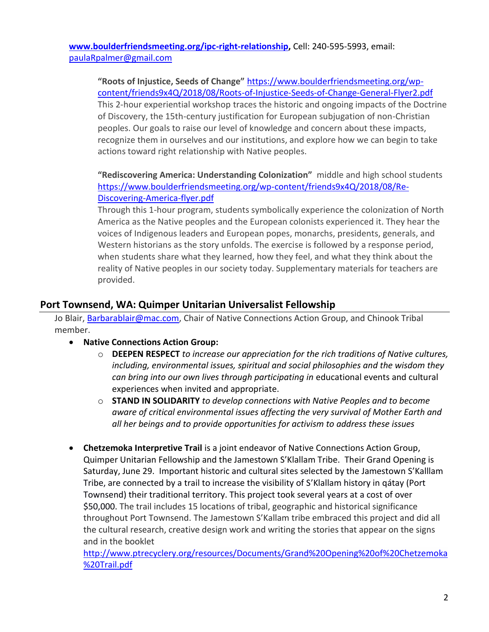**[www.boulderfriendsmeeting.org/ipc-right-relationship,](http://www.boulderfriendsmeeting.org/ipc-right-relationship)** Cell: 240-595-5993, email: [paulaRpalmer@gmail.com](mailto:paulaRpalmer@gmail.com)

**"Roots of Injustice, Seeds of Change"** [https://www.boulderfriendsmeeting.org/wp](https://www.boulderfriendsmeeting.org/wp-content/friends9x4Q/2018/08/Roots-of-Injustice-Seeds-of-Change-General-Flyer2.pdf)[content/friends9x4Q/2018/08/Roots-of-Injustice-Seeds-of-Change-General-Flyer2.pdf](https://www.boulderfriendsmeeting.org/wp-content/friends9x4Q/2018/08/Roots-of-Injustice-Seeds-of-Change-General-Flyer2.pdf) This 2-hour experiential workshop traces the historic and ongoing impacts of the Doctrine of Discovery, the 15th-century justification for European subjugation of non-Christian peoples. Our goals to raise our level of knowledge and concern about these impacts, recognize them in ourselves and our institutions, and explore how we can begin to take actions toward right relationship with Native peoples.

**"Rediscovering America: Understanding Colonization"** middle and high school students [https://www.boulderfriendsmeeting.org/wp-content/friends9x4Q/2018/08/Re-](https://www.boulderfriendsmeeting.org/wp-content/friends9x4Q/2018/08/Re-Discovering-America-flyer.pdf)[Discovering-America-flyer.pdf](https://www.boulderfriendsmeeting.org/wp-content/friends9x4Q/2018/08/Re-Discovering-America-flyer.pdf)

Through this 1-hour program, students symbolically experience the colonization of North America as the Native peoples and the European colonists experienced it. They hear the voices of Indigenous leaders and European popes, monarchs, presidents, generals, and Western historians as the story unfolds. The exercise is followed by a response period, when students share what they learned, how they feel, and what they think about the reality of Native peoples in our society today. Supplementary materials for teachers are provided.

## **Port Townsend, WA: Quimper Unitarian Universalist Fellowship**

Jo Blair, [Barbarablair@mac.com,](mailto:Barbarablair@mac.com) Chair of Native Connections Action Group, and Chinook Tribal member.

- **Native Connections Action Group:**
	- o **DEEPEN RESPECT** *to increase our appreciation for the rich traditions of Native cultures, including, environmental issues, spiritual and social philosophies and the wisdom they can bring into our own lives through participating in* educational events and cultural experiences when invited and appropriate.
	- o **STAND IN SOLIDARITY** *to develop connections with Native Peoples and to become aware of critical environmental issues affecting the very survival of Mother Earth and all her beings and to provide opportunities for activism to address these issues*
- **Chetzemoka Interpretive Trail** is a joint endeavor of Native Connections Action Group, Quimper Unitarian Fellowship and the Jamestown S'Klallam Tribe. Their Grand Opening is Saturday, June 29. Important historic and cultural sites selected by the Jamestown S'Kalllam Tribe, are connected by a trail to increase the visibility of S'Klallam history in qátay (Port Townsend) their traditional territory. This project took several years at a cost of over \$50,000. The trail includes 15 locations of tribal, geographic and historical significance throughout Port Townsend. The Jamestown S'Kallam tribe embraced this project and did all the cultural research, creative design work and writing the stories that appear on the signs and in the booklet

[http://www.ptrecyclery.org/resources/Documents/Grand%20Opening%20of%20Chetzemoka](http://www.ptrecyclery.org/resources/Documents/Grand%20Opening%20of%20Chetzemoka%20Trail.pdf) [%20Trail.pdf](http://www.ptrecyclery.org/resources/Documents/Grand%20Opening%20of%20Chetzemoka%20Trail.pdf)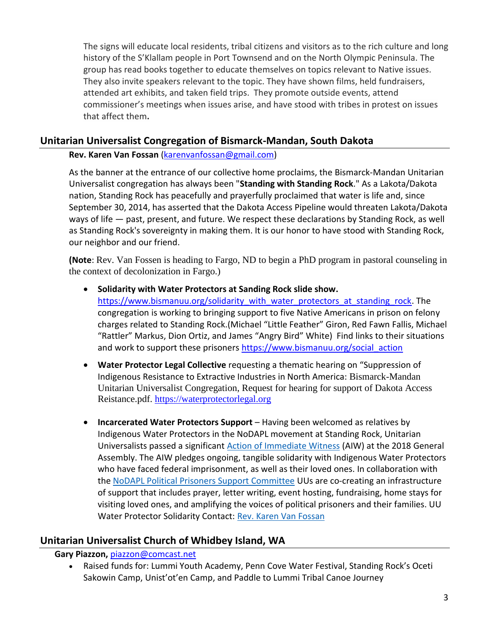The signs will educate local residents, tribal citizens and visitors as to the rich culture and long history of the S'Klallam people in Port Townsend and on the North Olympic Peninsula. The group has read books together to educate themselves on topics relevant to Native issues. They also invite speakers relevant to the topic. They have shown films, held fundraisers, attended art exhibits, and taken field trips. They promote outside events, attend commissioner's meetings when issues arise, and have stood with tribes in protest on issues that affect them**.** 

## **Unitarian Universalist Congregation of Bismarck-Mandan, South Dakota**

#### **Rev. Karen Van Fossan** [\(karenvanfossan@gmail.com\)](mailto:karenvanfossan@gmail.com)

As the banner at the entrance of our collective home proclaims, the Bismarck-Mandan Unitarian Universalist congregation has always been "**Standing with Standing Rock**." As a Lakota/Dakota nation, Standing Rock has peacefully and prayerfully proclaimed that water is life and, since September 30, 2014, has asserted that the Dakota Access Pipeline would threaten Lakota/Dakota ways of life — past, present, and future. We respect these declarations by Standing Rock, as well as Standing Rock's sovereignty in making them. It is our honor to have stood with Standing Rock, our neighbor and our friend.

**(Note**: Rev. Van Fossen is heading to Fargo, ND to begin a PhD program in pastoral counseling in the context of decolonization in Fargo.)

• **Solidarity with Water Protectors at Sanding Rock slide show.** 

[https://www.bismanuu.org/solidarity\\_with\\_water\\_protectors\\_at\\_standing\\_rock.](https://www.bismanuu.org/solidarity_with_water_protectors_at_standing_rock) The congregation is working to bringing support to five Native Americans in prison on felony charges related to Standing Rock.(Michael "Little Feather" Giron, Red Fawn Fallis, Michael "Rattler" Markus, Dion Ortiz, and James "Angry Bird" White) Find links to their situations and work to support these prisoners [https://www.bismanuu.org/social\\_action](https://www.bismanuu.org/social_action)

- **Water Protector Legal Collective** requesting a thematic hearing on "Suppression of Indigenous Resistance to Extractive Industries in North America: Bismarck-Mandan Unitarian Universalist Congregation, Request for hearing for support of Dakota Access Reistance.pdf. [https://waterprotectorlegal.org](https://waterprotectorlegal.org/)
- **Incarcerated Water Protectors Support** Having been welcomed as relatives by Indigenous Water Protectors in the NoDAPL movement at Standing Rock, Unitarian Universalists passed a significant [Action of Immediate Witness](http://uua874.acemlna.com/lt.php?s=4735a1f513832e68dd2fbee64f59a66f&i=1536A3232A33A60312) (AIW) at the 2018 General Assembly. The AIW pledges ongoing, tangible solidarity with Indigenous Water Protectors who have faced federal imprisonment, as well as their loved ones. In collaboration with the [NoDAPL Political Prisoners Support Committee](http://uua874.acemlna.com/lt.php?s=4735a1f513832e68dd2fbee64f59a66f&i=1536A3232A33A60313) UUs are co-creating an infrastructure of support that includes prayer, letter writing, event hosting, fundraising, home stays for visiting loved ones, and amplifying the voices of political prisoners and their families. UU Water Protector Solidarity Contact: [Rev. Karen Van Fossan](mailto:karenvanfossan@gmail.com)

## **Unitarian Universalist Church of Whidbey Island, WA**

#### **Gary Piazzon,** [piazzon@comcast.net](mailto:piazzon@comcast.net)

• Raised funds for: Lummi Youth Academy, Penn Cove Water Festival, Standing Rock's Oceti Sakowin Camp, Unist'ot'en Camp, and Paddle to Lummi Tribal Canoe Journey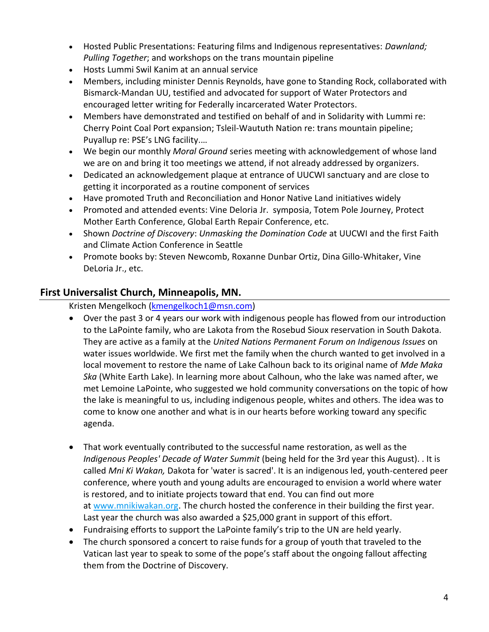- Hosted Public Presentations: Featuring films and Indigenous representatives: *Dawnland; Pulling Together*; and workshops on the trans mountain pipeline
- Hosts Lummi Swil Kanim at an annual service
- Members, including minister Dennis Reynolds, have gone to Standing Rock, collaborated with Bismarck-Mandan UU, testified and advocated for support of Water Protectors and encouraged letter writing for Federally incarcerated Water Protectors.
- Members have demonstrated and testified on behalf of and in Solidarity with Lummi re: Cherry Point Coal Port expansion; Tsleil-Waututh Nation re: trans mountain pipeline; Puyallup re: PSE's LNG facility.…
- We begin our monthly *Moral Ground* series meeting with acknowledgement of whose land we are on and bring it too meetings we attend, if not already addressed by organizers.
- Dedicated an acknowledgement plaque at entrance of UUCWI sanctuary and are close to getting it incorporated as a routine component of services
- Have promoted Truth and Reconciliation and Honor Native Land initiatives widely
- Promoted and attended events: Vine Deloria Jr. symposia, Totem Pole Journey, Protect Mother Earth Conference, Global Earth Repair Conference, etc.
- Shown *Doctrine of Discovery*: *Unmasking the Domination Code* at UUCWI and the first Faith and Climate Action Conference in Seattle
- Promote books by: Steven Newcomb, Roxanne Dunbar Ortiz, Dina Gillo-Whitaker, Vine DeLoria Jr., etc.

## **First Universalist Church, Minneapolis, MN.**

Kristen Mengelkoch [\(kmengelkoch1@msn.com\)](mailto:kmengelkoch1@msn.com)

- Over the past 3 or 4 years our work with indigenous people has flowed from our introduction to the LaPointe family, who are Lakota from the Rosebud Sioux reservation in South Dakota. They are active as a family at the *United Nations Permanent Forum on Indigenous Issues* on water issues worldwide. We first met the family when the church wanted to get involved in a local movement to restore the name of Lake Calhoun back to its original name of *Mde Maka Ska* (White Earth Lake). In learning more about Calhoun, who the lake was named after, we met Lemoine LaPointe, who suggested we hold community conversations on the topic of how the lake is meaningful to us, including indigenous people, whites and others. The idea was to come to know one another and what is in our hearts before working toward any specific agenda.
- That work eventually contributed to the successful name restoration, as well as the *Indigenous Peoples' Decade of Water Summit* (being held for the 3rd year this August). . It is called *Mni Ki Wakan,* Dakota for 'water is sacred'. It is an indigenous led, youth-centered peer conference, where youth and young adults are encouraged to envision a world where water is restored, and to initiate projects toward that end. You can find out more at [www.mnikiwakan.org.](http://www.mnikiwakan.org/) The church hosted the conference in their building the first year. Last year the church was also awarded a \$25,000 grant in support of this effort.
- Fundraising efforts to support the LaPointe family's trip to the UN are held yearly.
- The church sponsored a concert to raise funds for a group of youth that traveled to the Vatican last year to speak to some of the pope's staff about the ongoing fallout affecting them from the Doctrine of Discovery.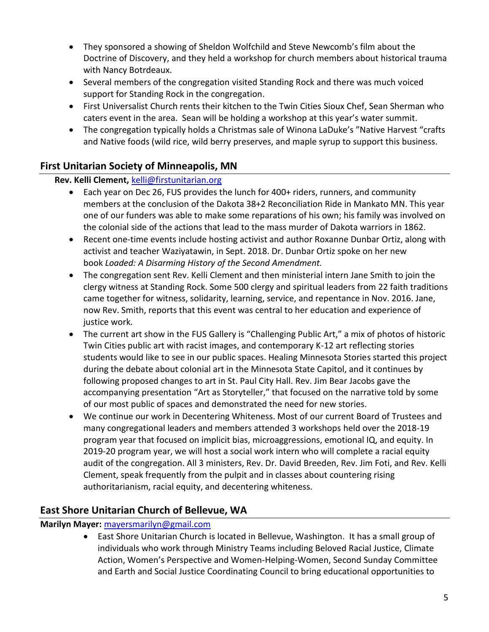- They sponsored a showing of Sheldon Wolfchild and Steve Newcomb's film about the Doctrine of Discovery, and they held a workshop for church members about historical trauma with Nancy Botrdeaux.
- Several members of the congregation visited Standing Rock and there was much voiced support for Standing Rock in the congregation.
- First Universalist Church rents their kitchen to the Twin Cities Sioux Chef, Sean Sherman who caters event in the area. Sean will be holding a workshop at this year's water summit.
- The congregation typically holds a Christmas sale of Winona LaDuke's "Native Harvest "crafts and Native foods (wild rice, wild berry preserves, and maple syrup to support this business.

## **First Unitarian Society of Minneapolis, MN**

## **Rev. Kelli Clement,** [kelli@firstunitarian.org](mailto:kelli@firstunitarian.org)

- Each year on Dec 26, FUS provides the lunch for 400+ riders, runners, and community members at the conclusion of the Dakota 38+2 Reconciliation Ride in Mankato MN. This year one of our funders was able to make some reparations of his own; his family was involved on the colonial side of the actions that lead to the mass murder of Dakota warriors in 1862.
- Recent one-time events include hosting activist and author Roxanne Dunbar Ortiz, along with activist and teacher Waziyatawin, in Sept. 2018. Dr. Dunbar Ortiz spoke on her new book *Loaded: A Disarming History of the Second Amendment.*
- The congregation sent Rev. Kelli Clement and then ministerial intern Jane Smith to join the clergy witness at Standing Rock. Some 500 clergy and spiritual leaders from 22 faith traditions came together for witness, solidarity, learning, service, and repentance in Nov. 2016. Jane, now Rev. Smith, reports that this event was central to her education and experience of justice work.
- The current art show in the FUS Gallery is "Challenging Public Art," a mix of photos of historic Twin Cities public art with racist images, and contemporary K-12 art reflecting stories students would like to see in our public spaces. Healing Minnesota Stories started this project during the debate about colonial art in the Minnesota State Capitol, and it continues by following proposed changes to art in St. Paul City Hall. Rev. Jim Bear Jacobs gave the accompanying presentation "Art as Storyteller," that focused on the narrative told by some of our most public of spaces and demonstrated the need for new stories.
- We continue our work in Decentering Whiteness. Most of our current Board of Trustees and many congregational leaders and members attended 3 workshops held over the 2018-19 program year that focused on implicit bias, microaggressions, emotional IQ, and equity. In 2019-20 program year, we will host a social work intern who will complete a racial equity audit of the congregation. All 3 ministers, Rev. Dr. David Breeden, Rev. Jim Foti, and Rev. Kelli Clement, speak frequently from the pulpit and in classes about countering rising authoritarianism, racial equity, and decentering whiteness.

## **East Shore Unitarian Church of Bellevue, WA**

## **Marilyn Mayer:** [mayersmarilyn@gmail.com](mailto:mayersmarilyn@gmail.com)

• East Shore Unitarian Church is located in Bellevue, Washington. It has a small group of individuals who work through Ministry Teams including Beloved Racial Justice, Climate Action, Women's Perspective and Women-Helping-Women, Second Sunday Committee and Earth and Social Justice Coordinating Council to bring educational opportunities to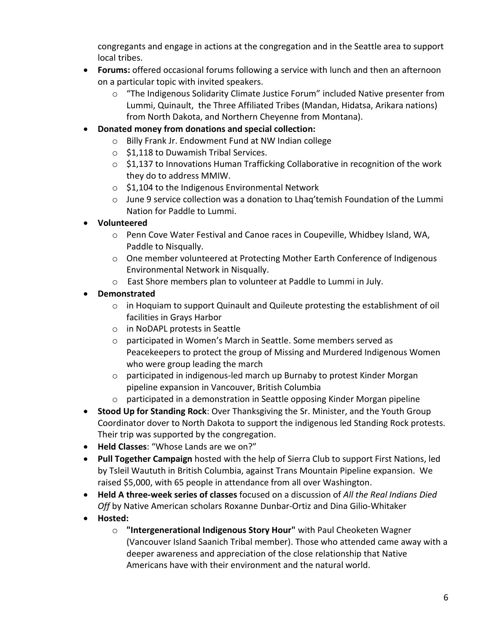congregants and engage in actions at the congregation and in the Seattle area to support local tribes.

- **Forums:** offered occasional forums following a service with lunch and then an afternoon on a particular topic with invited speakers.
	- $\circ$  "The Indigenous Solidarity Climate Justice Forum" included Native presenter from Lummi, Quinault, the Three Affiliated Tribes (Mandan, Hidatsa, Arikara nations) from North Dakota, and Northern Cheyenne from Montana).
- **Donated money from donations and special collection:**
	- o Billy Frank Jr. Endowment Fund at NW Indian college
	- o \$1,118 to Duwamish Tribal Services.
	- $\circ$  \$1,137 to Innovations Human Trafficking Collaborative in recognition of the work they do to address MMIW.
	- $\circ$  \$1,104 to the Indigenous Environmental Network
	- $\circ$  June 9 service collection was a donation to Lhaq'temish Foundation of the Lummi Nation for Paddle to Lummi.
- **Volunteered**
	- o Penn Cove Water Festival and Canoe races in Coupeville, Whidbey Island, WA, Paddle to Nisqually.
	- o One member volunteered at Protecting Mother Earth Conference of Indigenous Environmental Network in Nisqually.
	- o East Shore members plan to volunteer at Paddle to Lummi in July.

## • **Demonstrated**

- $\circ$  in Hoquiam to support Quinault and Quileute protesting the establishment of oil facilities in Grays Harbor
- o in NoDAPL protests in Seattle
- o participated in Women's March in Seattle. Some members served as Peacekeepers to protect the group of Missing and Murdered Indigenous Women who were group leading the march
- $\circ$  participated in indigenous-led march up Burnaby to protest Kinder Morgan pipeline expansion in Vancouver, British Columbia
- o participated in a demonstration in Seattle opposing Kinder Morgan pipeline
- **Stood Up for Standing Rock**: Over Thanksgiving the Sr. Minister, and the Youth Group Coordinator dover to North Dakota to support the indigenous led Standing Rock protests. Their trip was supported by the congregation.
- **Held Classes**: "Whose Lands are we on?"
- **Pull Together Campaign** hosted with the help of Sierra Club to support First Nations, led by Tsleil Waututh in British Columbia, against Trans Mountain Pipeline expansion. We raised \$5,000, with 65 people in attendance from all over Washington.
- **Held A three-week series of classes** focused on a discussion of *All the Real Indians Died Off* by Native American scholars Roxanne Dunbar-Ortiz and Dina Gilio-Whitaker
- **Hosted:**
	- o **"Intergenerational Indigenous Story Hour"** with Paul Cheoketen Wagner (Vancouver Island Saanich Tribal member). Those who attended came away with a deeper awareness and appreciation of the close relationship that Native Americans have with their environment and the natural world.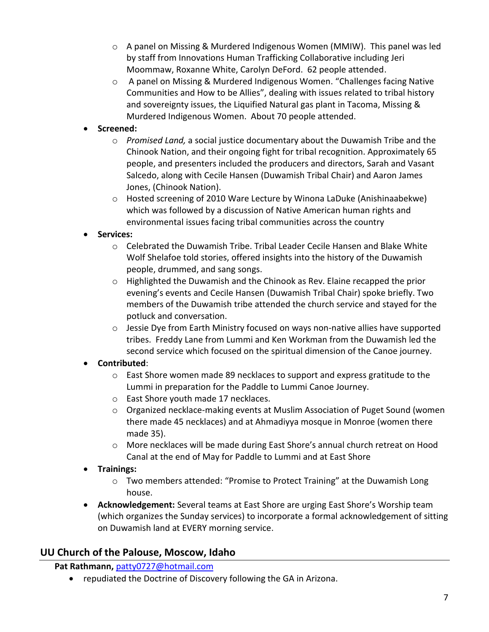- $\circ$  A panel on Missing & Murdered Indigenous Women (MMIW). This panel was led by staff from Innovations Human Trafficking Collaborative including Jeri Moommaw, Roxanne White, Carolyn DeFord. 62 people attended.
- o A panel on Missing & Murdered Indigenous Women. "Challenges facing Native Communities and How to be Allies", dealing with issues related to tribal history and sovereignty issues, the Liquified Natural gas plant in Tacoma, Missing & Murdered Indigenous Women. About 70 people attended.

## • **Screened:**

- o *Promised Land,* a social justice documentary about the Duwamish Tribe and the Chinook Nation, and their ongoing fight for tribal recognition. Approximately 65 people, and presenters included the producers and directors, Sarah and Vasant Salcedo, along with Cecile Hansen (Duwamish Tribal Chair) and Aaron James Jones, (Chinook Nation).
- $\circ$  Hosted screening of 2010 Ware Lecture by Winona LaDuke (Anishinaabekwe) which was followed by a discussion of Native American human rights and environmental issues facing tribal communities across the country

## • **Services:**

- o Celebrated the Duwamish Tribe. Tribal Leader Cecile Hansen and Blake White Wolf Shelafoe told stories, offered insights into the history of the Duwamish people, drummed, and sang songs.
- o Highlighted the Duwamish and the Chinook as Rev. Elaine recapped the prior evening's events and Cecile Hansen (Duwamish Tribal Chair) spoke briefly. Two members of the Duwamish tribe attended the church service and stayed for the potluck and conversation.
- $\circ$  Jessie Dye from Earth Ministry focused on ways non-native allies have supported tribes. Freddy Lane from Lummi and Ken Workman from the Duwamish led the second service which focused on the spiritual dimension of the Canoe journey.

## • **Contributed**:

- $\circ$  East Shore women made 89 necklaces to support and express gratitude to the Lummi in preparation for the Paddle to Lummi Canoe Journey.
- o East Shore youth made 17 necklaces.
- $\circ$  Organized necklace-making events at Muslim Association of Puget Sound (women there made 45 necklaces) and at Ahmadiyya mosque in Monroe (women there made 35).
- o More necklaces will be made during East Shore's annual church retreat on Hood Canal at the end of May for Paddle to Lummi and at East Shore

## • **Trainings:**

- o Two members attended: "Promise to Protect Training" at the Duwamish Long house.
- **Acknowledgement:** Several teams at East Shore are urging East Shore's Worship team (which organizes the Sunday services) to incorporate a formal acknowledgement of sitting on Duwamish land at EVERY morning service.

## **UU Church of the Palouse, Moscow, Idaho**

## **Pat Rathmann,** [patty0727@hotmail.com](mailto:patty0727@hotmail.com)

• repudiated the Doctrine of Discovery following the GA in Arizona.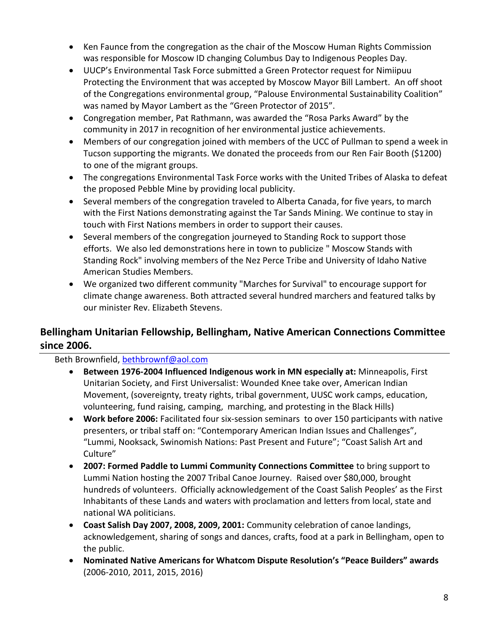- Ken Faunce from the congregation as the chair of the Moscow Human Rights Commission was responsible for Moscow ID changing Columbus Day to Indigenous Peoples Day.
- UUCP's Environmental Task Force submitted a Green Protector request for Nimiipuu Protecting the Environment that was accepted by Moscow Mayor Bill Lambert. An off shoot of the Congregations environmental group, "Palouse Environmental Sustainability Coalition" was named by Mayor Lambert as the "Green Protector of 2015".
- Congregation member, Pat Rathmann, was awarded the "Rosa Parks Award" by the community in 2017 in recognition of her environmental justice achievements.
- Members of our congregation joined with members of the UCC of Pullman to spend a week in Tucson supporting the migrants. We donated the proceeds from our Ren Fair Booth (\$1200) to one of the migrant groups.
- The congregations Environmental Task Force works with the United Tribes of Alaska to defeat the proposed Pebble Mine by providing local publicity.
- Several members of the congregation traveled to Alberta Canada, for five years, to march with the First Nations demonstrating against the Tar Sands Mining. We continue to stay in touch with First Nations members in order to support their causes.
- Several members of the congregation journeyed to Standing Rock to support those efforts. We also led demonstrations here in town to publicize " Moscow Stands with Standing Rock" involving members of the Nez Perce Tribe and University of Idaho Native American Studies Members.
- We organized two different community "Marches for Survival" to encourage support for climate change awareness. Both attracted several hundred marchers and featured talks by our minister Rev. Elizabeth Stevens.

# **Bellingham Unitarian Fellowship, Bellingham, Native American Connections Committee since 2006.**

Beth Brownfield, [bethbrownf@aol.com](mailto:bethbrownf@aol.com)

- **Between 1976-2004 Influenced Indigenous work in MN especially at:** Minneapolis, First Unitarian Society, and First Universalist: Wounded Knee take over, American Indian Movement, (sovereignty, treaty rights, tribal government, UUSC work camps, education, volunteering, fund raising, camping, marching, and protesting in the Black Hills)
- **Work before 2006:** Facilitated four six-session seminars to over 150 participants with native presenters, or tribal staff on: "Contemporary American Indian Issues and Challenges", "Lummi, Nooksack, Swinomish Nations: Past Present and Future"; "Coast Salish Art and Culture"
- **2007: Formed Paddle to Lummi Community Connections Committee** to bring support to Lummi Nation hosting the 2007 Tribal Canoe Journey. Raised over \$80,000, brought hundreds of volunteers. Officially acknowledgement of the Coast Salish Peoples' as the First Inhabitants of these Lands and waters with proclamation and letters from local, state and national WA politicians.
- **Coast Salish Day 2007, 2008, 2009, 2001:** Community celebration of canoe landings, acknowledgement, sharing of songs and dances, crafts, food at a park in Bellingham, open to the public.
- **Nominated Native Americans for Whatcom Dispute Resolution's "Peace Builders" awards** (2006-2010, 2011, 2015, 2016)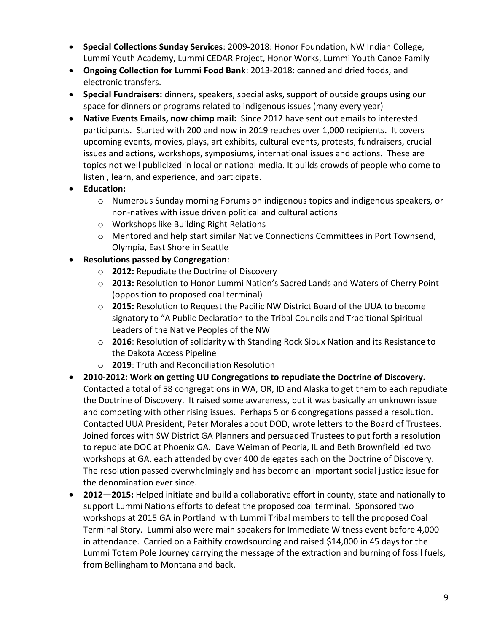- **Special Collections Sunday Services**: 2009-2018: Honor Foundation, NW Indian College, Lummi Youth Academy, Lummi CEDAR Project, Honor Works, Lummi Youth Canoe Family
- **Ongoing Collection for Lummi Food Bank**: 2013-2018: canned and dried foods, and electronic transfers.
- **Special Fundraisers:** dinners, speakers, special asks, support of outside groups using our space for dinners or programs related to indigenous issues (many every year)
- **Native Events Emails, now chimp mail:** Since 2012 have sent out emails to interested participants. Started with 200 and now in 2019 reaches over 1,000 recipients. It covers upcoming events, movies, plays, art exhibits, cultural events, protests, fundraisers, crucial issues and actions, workshops, symposiums, international issues and actions. These are topics not well publicized in local or national media. It builds crowds of people who come to listen , learn, and experience, and participate.
- **Education:** 
	- o Numerous Sunday morning Forums on indigenous topics and indigenous speakers, or non-natives with issue driven political and cultural actions
	- o Workshops like Building Right Relations
	- o Mentored and help start similar Native Connections Committees in Port Townsend, Olympia, East Shore in Seattle
- **Resolutions passed by Congregation**:
	- o **2012:** Repudiate the Doctrine of Discovery
	- o **2013:** Resolution to Honor Lummi Nation's Sacred Lands and Waters of Cherry Point (opposition to proposed coal terminal)
	- o **2015:** Resolution to Request the Pacific NW District Board of the UUA to become signatory to "A Public Declaration to the Tribal Councils and Traditional Spiritual Leaders of the Native Peoples of the NW
	- o **2016**: Resolution of solidarity with Standing Rock Sioux Nation and its Resistance to the Dakota Access Pipeline
	- o **2019**: Truth and Reconciliation Resolution
- **2010-2012: Work on getting UU Congregations to repudiate the Doctrine of Discovery.** Contacted a total of 58 congregations in WA, OR, ID and Alaska to get them to each repudiate the Doctrine of Discovery. It raised some awareness, but it was basically an unknown issue and competing with other rising issues. Perhaps 5 or 6 congregations passed a resolution. Contacted UUA President, Peter Morales about DOD, wrote letters to the Board of Trustees. Joined forces with SW District GA Planners and persuaded Trustees to put forth a resolution to repudiate DOC at Phoenix GA. Dave Weiman of Peoria, IL and Beth Brownfield led two workshops at GA, each attended by over 400 delegates each on the Doctrine of Discovery. The resolution passed overwhelmingly and has become an important social justice issue for the denomination ever since.
- **2012—2015:** Helped initiate and build a collaborative effort in county, state and nationally to support Lummi Nations efforts to defeat the proposed coal terminal. Sponsored two workshops at 2015 GA in Portland with Lummi Tribal members to tell the proposed Coal Terminal Story. Lummi also were main speakers for Immediate Witness event before 4,000 in attendance. Carried on a Faithify crowdsourcing and raised \$14,000 in 45 days for the Lummi Totem Pole Journey carrying the message of the extraction and burning of fossil fuels, from Bellingham to Montana and back.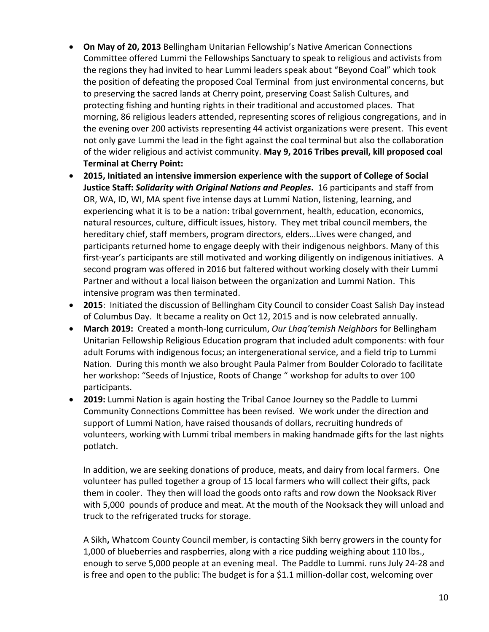- **On May of 20, 2013** Bellingham Unitarian Fellowship's Native American Connections Committee offered Lummi the Fellowships Sanctuary to speak to religious and activists from the regions they had invited to hear Lummi leaders speak about "Beyond Coal" which took the position of defeating the proposed Coal Terminal from just environmental concerns, but to preserving the sacred lands at Cherry point, preserving Coast Salish Cultures, and protecting fishing and hunting rights in their traditional and accustomed places. That morning, 86 religious leaders attended, representing scores of religious congregations, and in the evening over 200 activists representing 44 activist organizations were present. This event not only gave Lummi the lead in the fight against the coal terminal but also the collaboration of the wider religious and activist community. **May 9, 2016 Tribes prevail, kill proposed coal Terminal at Cherry Point:**
- **2015, Initiated an intensive immersion experience with the support of College of Social Justice Staff:** *Solidarity with Original Nations and Peoples***.** 16 participants and staff from OR, WA, ID, WI, MA spent five intense days at Lummi Nation, listening, learning, and experiencing what it is to be a nation: tribal government, health, education, economics, natural resources, culture, difficult issues, history. They met tribal council members, the hereditary chief, staff members, program directors, elders…Lives were changed, and participants returned home to engage deeply with their indigenous neighbors. Many of this first-year's participants are still motivated and working diligently on indigenous initiatives. A second program was offered in 2016 but faltered without working closely with their Lummi Partner and without a local liaison between the organization and Lummi Nation. This intensive program was then terminated.
- **2015**: Initiated the discussion of Bellingham City Council to consider Coast Salish Day instead of Columbus Day. It became a reality on Oct 12, 2015 and is now celebrated annually.
- **March 2019:** Created a month-long curriculum, *Our Lhaq'temish Neighbors* for Bellingham Unitarian Fellowship Religious Education program that included adult components: with four adult Forums with indigenous focus; an intergenerational service, and a field trip to Lummi Nation. During this month we also brought Paula Palmer from Boulder Colorado to facilitate her workshop: "Seeds of Injustice, Roots of Change " workshop for adults to over 100 participants.
- **2019:** Lummi Nation is again hosting the Tribal Canoe Journey so the Paddle to Lummi Community Connections Committee has been revised. We work under the direction and support of Lummi Nation, have raised thousands of dollars, recruiting hundreds of volunteers, working with Lummi tribal members in making handmade gifts for the last nights potlatch.

In addition, we are seeking donations of produce, meats, and dairy from local farmers. One volunteer has pulled together a group of 15 local farmers who will collect their gifts, pack them in cooler. They then will load the goods onto rafts and row down the Nooksack River with 5,000 pounds of produce and meat. At the mouth of the Nooksack they will unload and truck to the refrigerated trucks for storage.

A Sikh**,** Whatcom County Council member, is contacting Sikh berry growers in the county for 1,000 of blueberries and raspberries, along with a rice pudding weighing about 110 lbs., enough to serve 5,000 people at an evening meal. The Paddle to Lummi. runs July 24-28 and is free and open to the public: The budget is for a \$1.1 million-dollar cost, welcoming over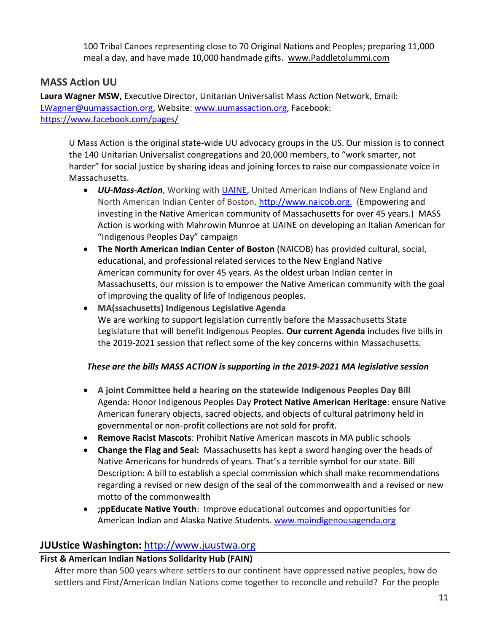100 Tribal Canoes representing close to 70 Original Nations and Peoples; preparing 11,000 meal a day, and have made 10,000 handmade gifts. [www.Paddletolummi.com](http://www.paddletolummi.com/)

#### **MASS Action UU**

**Laura Wagner MSW,** Executive Director, Unitarian Universalist Mass Action Network, Email: [LWagner@uumassaction.org,](mailto:LWagner@uumassaction.org) Website: [www.uumassaction.org,](http://www.uumassaction.org/) Facebook: <https://www.facebook.com/pages/>

U Mass Action is the original state-wide UU advocacy groups in the US. Our mission is to connect the 140 Unitarian Universalist congregations and 20,000 members, to "work smarter, not harder" for social justice by sharing ideas and joining forces to raise our compassionate voice in Massachusetts.

- *UU-Mass-Action*, Working with [UAINE,](http://www.uaine.org/) United American Indians of New England and North American Indian Center of Boston. [http://www.naicob.org.](http://www.naicob.org/) (Empowering and investing in the Native American community of Massachusetts for over 45 years.) MASS Action is working with Mahrowin Munroe at UAINE on developing an Italian American for "Indigenous Peoples Day" campaign
- **The North American Indian Center of Boston** (NAICOB) has provided cultural, social, educational, and professional related services to the New England Native American community for over 45 years. As the oldest urban Indian center in Massachusetts, our mission is to empower the Native American community with the goal of improving the quality of life of Indigenous peoples.
- **MA(ssachusetts) Indigenous Legislative Agenda** We are working to support legislation currently before the Massachusetts State Legislature that will benefit Indigenous Peoples. **[Our current Agenda](http://maindigenousagenda.org/#legislation)** includes five bills in the 2019-2021 session that reflect some of the key concerns within Massachusetts.

#### *These are the bills MASS ACTION is supporting in the 2019-2021 MA legislative session*

- **A joint Committee held a hearing on the statewide Indigenous Peoples Day Bill** Agenda: Honor Indigenous Peoples Day **Protect Native American Heritage**: ensure Native American funerary objects, sacred objects, and objects of cultural patrimony held in governmental or non-profit collections are not sold for profit.
- **Remove Racist Mascots**: Prohibit Native American mascots in MA public schools
- **Change the Flag and Seal:** Massachusetts has kept a sword hanging over the heads of Native Americans for hundreds of years. That's a terrible symbol for our state. Bill Description: A bill to establish a special commission which shall make recommendations regarding a revised or new design of the seal of the commonwealth and a revised or new motto of the commonwealth
- **;ppEducate Native Youth**: Improve educational outcomes and opportunities for American Indian and Alaska Native Students. [www.maindigenousagenda.org](http://www.maindigenousagenda.org/)

## **JUUstice Washington:** [http://www.juustwa.org](http://www.juustwa.org/)

#### **First & American Indian Nations Solidarity Hub (FAIN)**

After more than 500 years where settlers to our continent have oppressed native peoples, how do settlers and First/American Indian Nations come together to reconcile and rebuild? For the people